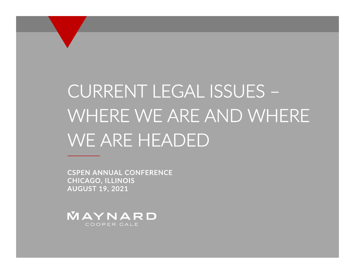# CURRENT LEGAL ISSUES – WHERE WE ARE AND WHERE WE ARE HEADED

CSPEN ANNUAL CONFERENCECHICAGO, ILLINOIS AUGUST 19, 2021

MAYNARD COOPER GALE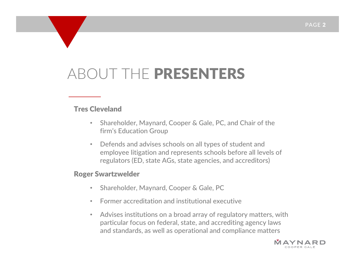#### ABOUT THE PRESENTERS

#### Tres Cleveland

- • Shareholder, Maynard, Cooper & Gale, PC, and Chair of the firm's Education Group
- Defends and advises schools on all types of student and employee litigation and represents schools before all levels of regulators (ED, state AGs, state agencies, and accreditors)

#### Roger Swartzwelder

- $\bullet$ Shareholder, Maynard, Cooper & Gale, PC
- Former accreditation and institutional executive
- • Advises institutions on <sup>a</sup> broad array of regulatory matters, with particular focus on federal, state, and accrediting agency laws and standards, as well as operational and compliance matters

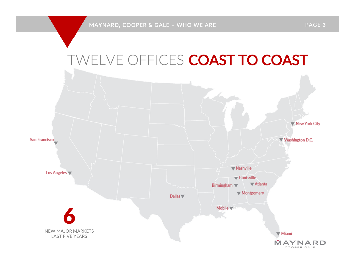

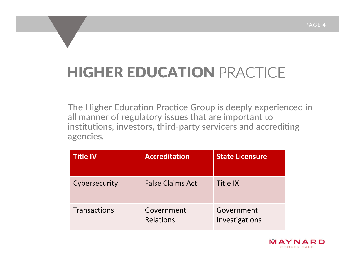## HIGHER EDUCATION PRACTICE

The Higher Education Practice Group is deeply experienced in all manner of regulatory issues that are important to institutions, investors, third‐party servicers and accrediting agencies.

| <b>Title IV</b> | <b>Accreditation</b>    | <b>State Licensure</b>       |
|-----------------|-------------------------|------------------------------|
| Cybersecurity   | <b>False Claims Act</b> | <b>Title IX</b>              |
| Transactions    | Government<br>Relations | Government<br>Investigations |

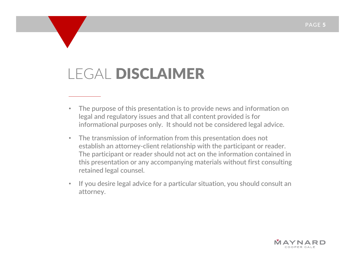### LEGAL DISCLAIMER

- • The purpose of this presentation is to provide news and information on legal and regulatory issues and that all content provided is for informational purposes only. It should not be considered legal advice.
- • The transmission of information from this presentation does not establish an attorney‐client relationship with the participant or reader. The participant or reader should not act on the information contained in this presentation or any accompanying materials without first consulting retained legal counsel.
- • If you desire legal advice for <sup>a</sup> particular situation, you should consult an attorney.

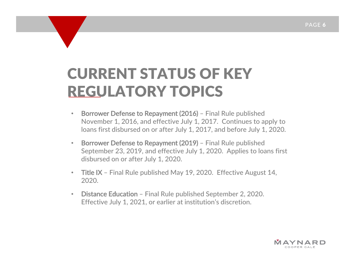#### CURRENT STATUS OF KEYREGULATORY TOPICS

- • Borrower Defense to Repayment (2016) – Final Rule published November 1, 2016, and effective July 1, 2017. Continues to apply to loans first disbursed on or after July 1, 2017, and before July 1, 2020.
- Borrower Defense to Repayment (2019) Final Rule published September 23, 2019, and effective July 1, 2020. Applies to loans first disbursed on or after July 1, 2020.
- Title IX Final Rule published May 19, 2020. Effective August 14, 2020.
- • Distance Education – Final Rule published September 2, 2020. Effective July 1, 2021, or earlier at institution's discretion.

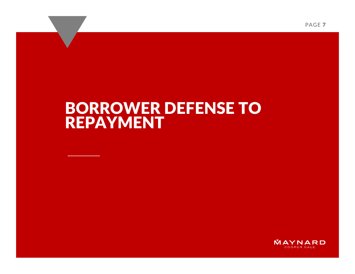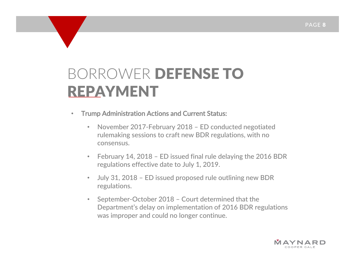- $\bullet$  Trump Administration Actions and Current Status:
	- • November 2017‐February 2018 – ED conducted negotiated rulemaking sessions to craft new BDR regulations, with no consensus.
	- $\bullet$  February 14, 2018 – ED issued final rule delaying the 2016 BDR regulations effective date to July 1, 2019.
	- • July 31, 2018 – ED issued proposed rule outlining new BDR regulations.
	- • September‐October 2018 – Court determined that the Department's delay on implementation of 2016 BDR regulations was improper and could no longer continue.

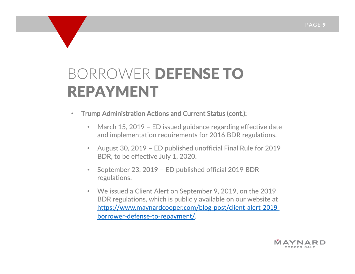- $\bullet$  Trump Administration Actions and Current Status (cont.):
	- • March 15, 2019 – ED issued guidance regarding effective date and implementation requirements for 2016 BDR regulations.
	- • August 30, 2019 – ED published unofficial Final Rule for 2019 BDR, to be effective July 1, 2020.
	- • September 23, 2019 – ED published official 2019 BDR regulations.
	- We issued <sup>a</sup> Client Alert on September 9, 2019, on the 2019 BDR regulations, which is publicly available on our website at https://www.maynardcooper.com/blog‐post/client‐alert‐2019‐ borrower‐defense‐to‐repayment/.

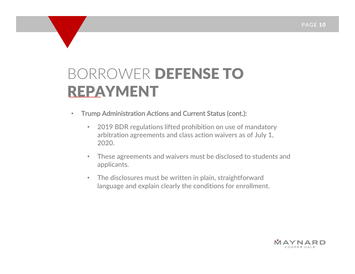- $\bullet$  Trump Administration Actions and Current Status (cont.):
	- • 2019 BDR regulations lifted prohibition on use of mandatory arbitration agreements and class action waivers as of July 1, 2020.
	- $\bullet$  These agreements and waivers must be disclosed to students and applicants.
	- $\bullet$  The disclosures must be written in plain, straightforward language and explain clearly the conditions for enrollment.

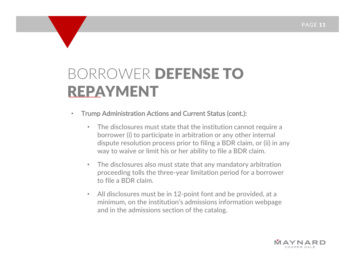- $\bullet$  Trump Administration Actions and Current Status (cont.):
	- $\bullet$  The disclosures must state that the institution cannot require <sup>a</sup> borrower (i) to participate in arbitration or any other internal dispute resolution process prior to filing <sup>a</sup> BDR claim, or (ii) in any way to waive or limit his or her ability to file <sup>a</sup> BDR claim.
	- • The disclosures also must state that any mandatory arbitration proceeding tolls the three‐year limitation period for <sup>a</sup> borrower to file <sup>a</sup> BDR claim.
	- • All disclosures must be in 12‐point font and be provided, at <sup>a</sup> minimum, on the institution's admissions information webpage and in the admissions section of the catalog.

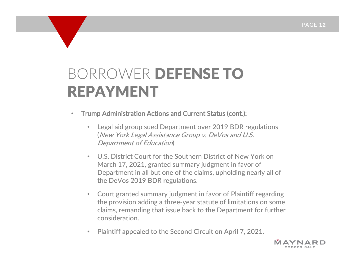- $\bullet$  Trump Administration Actions and Current Status (cont.):
	- • Legal aid group sued Department over 2019 BDR regulations (New York Legal Assistance Group v. DeVos and U.S. Department of Education)
	- • U.S. District Court for the Southern District of New York on March 17, 2021, granted summary judgment in favor of Department in all but one of the claims, upholding nearly all of the DeVos 2019 BDR regulations.
	- • Court granted summary judgment in favor of Plaintiff regarding the provision adding <sup>a</sup> three‐year statute of limitations on some claims, remanding that issue back to the Department for further consideration.
	- •Plaintiff appealed to the Second Circuit on April 7, 2021.

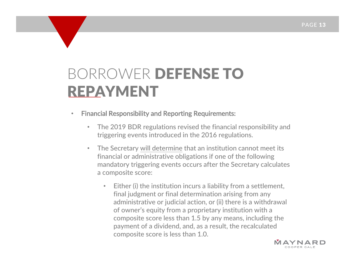- • Financial Responsibility and Reporting Requirements:
	- • The 2019 BDR regulations revised the financial responsibility and triggering events introduced in the 2016 regulations.
	- • The Secretary will determine that an institution cannot meet its financial or administrative obligations if one of the following mandatory triggering events occurs after the Secretary calculates a composite score:
		- • Either (i) the institution incurs <sup>a</sup> liability from <sup>a</sup> settlement, final judgment or final determination arising from any administrative or judicial action, or (ii) there is <sup>a</sup> withdrawal of owner's equity from <sup>a</sup> proprietary institution with <sup>a</sup> composite score less than 1.5 by any means, including the payment of <sup>a</sup> dividend, and, as <sup>a</sup> result, the recalculated composite score is less than 1.0.

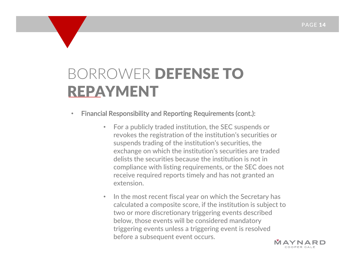- • Financial Responsibility and Reporting Requirements (cont.):
	- • For a publicly traded institution, the SEC suspends or revokes the registration of the institution's securities or suspends trading of the institution's securities, the exchange on which the institution's securities are traded delists the securities because the institution is not in compliance with listing requirements, or the SEC does not receive required reports timely and has not granted an extension.
	- • $\bullet$   $\;\;$  In the most recent fiscal year on which the Secretary has calculated <sup>a</sup> composite score, if the institution is subject to two or more discretionary triggering events described below, those events will be considered mandatory triggering events unless <sup>a</sup> triggering event is resolved before <sup>a</sup> subsequent event occurs.

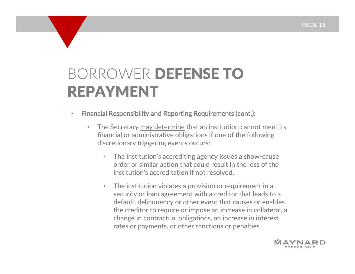- • Financial Responsibility and Reporting Requirements (cont.):
	- • The Secretary may determine that an institution cannot meet its financial or administrative obligations if one of the following discretionary triggering events occurs:
		- • The institution's accrediting agency issues <sup>a</sup> show‐cause order or similar action that could result in the loss of the institution's accreditation if not resolved.
		- • The institution violates <sup>a</sup> provision or requirement in <sup>a</sup> security or loan agreement with <sup>a</sup> creditor that leads to <sup>a</sup> default, delinquency or other event that causes or enables the creditor to require or impose an increase in collateral, <sup>a</sup> change in contractual obligations, an increase in interest rates or payments, or other sanctions or penalties.

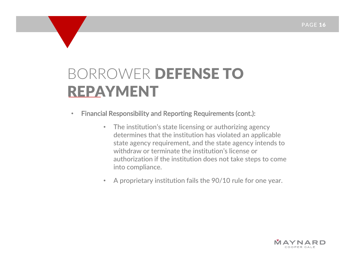- $\bullet$  Financial Responsibility and Reporting Requirements (cont.):
	- • The institution's state licensing or authorizing agency determines that the institution has violated an applicable state agency requirement, and the state agency intends to withdraw or terminate the institution's license or authorization if the institution does not take steps to come into compliance.
	- •A proprietary institution fails the 90/10 rule for one year.

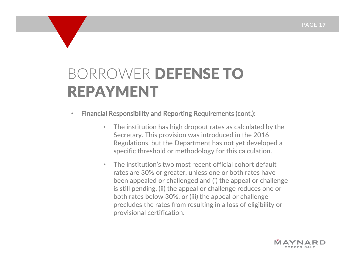- $\bullet$  Financial Responsibility and Reporting Requirements (cont.):
	- • The institution has high dropout rates as calculated by the Secretary. This provision was introduced in the 2016 Regulations, but the Department has not yet developed <sup>a</sup> specific threshold or methodology for this calculation.
	- • The institution's two most recent official cohort default rates are 30% or greater, unless one or both rates have been appealed or challenged and (i) the appeal or challenge is still pending, (ii) the appeal or challenge reduces one or both rates below 30%, or (iii) the appeal or challenge precludes the rates from resulting in <sup>a</sup> loss of eligibility or provisional certification.

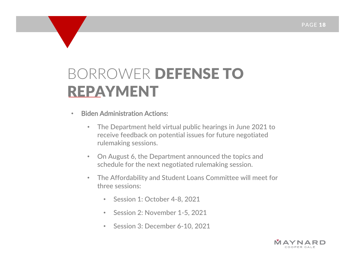- • Biden Administration Actions:
	- • The Department held virtual public hearings in June 2021 to receive feedback on potential issues for future negotiated rulemaking sessions.
	- $\bullet$  On August 6, the Department announced the topics and schedule for the next negotiated rulemaking session.
	- $\bullet$  The Affordability and Student Loans Committee will meet for three sessions:
		- Session 1: October 4‐8, 2021
		- $\bullet$ • Session 2: November 1-5, 2021
		- •• Session 3: December 6-10, 2021

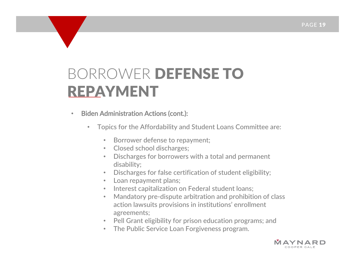- $\bullet$  Biden Administration Actions (cont.):
	- $\bullet$  Topics for the Affordability and Student Loans Committee are:
		- •Borrower defense to repayment;
		- Closed school discharges;
		- • Discharges for borrowers with <sup>a</sup> total and permanent disability;
		- •Discharges for false certification of student eligibility;
		- •Loan repayment plans;
		- •• Interest capitalization on Federal student loans;
		- • Mandatory pre‐dispute arbitration and prohibition of class action lawsuits provisions in institutions' enrollment agreements;
		- Pell Grant eligibility for prison education programs; and
		- The Public Service Loan Forgiveness program.

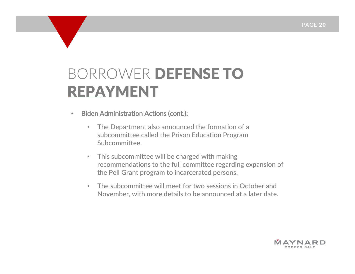- $\bullet$  Biden Administration Actions (cont.):
	- • The Department also announced the formation of <sup>a</sup> subcommittee called the Prison Education Program Subcommittee.
	- $\bullet$  This subcommittee will be charged with making recommendations to the full committee regarding expansion of the Pell Grant program to incarcerated persons.
	- • The subcommittee will meet for two sessions in October and November, with more details to be announced at <sup>a</sup> later date.

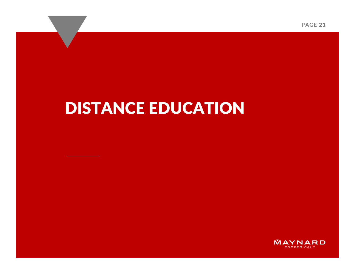#### DISTANCE EDUCATION

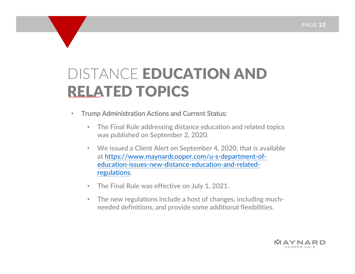- $\bullet$  Trump Administration Actions and Current Status:
	- • The Final Rule addressing distance education and related topics was published on September 2, 2020.
	- $\bullet$  We issued <sup>a</sup> Client Alert on September 4, 2020, that is available at https://www.maynardcooper.com/u‐s‐department‐of‐ education‐issues‐new‐distance‐education‐and‐related‐ regulations.
	- •The Final Rule was effective on July 1, 2021.
	- $\bullet$  The new regulations include <sup>a</sup> host of changes, including much‐ needed definitions, and provide some additional flexibilities.

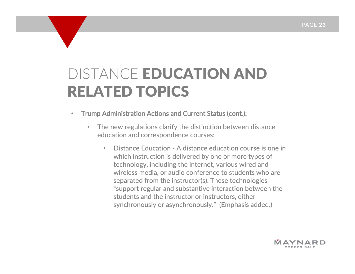- $\bullet$  Trump Administration Actions and Current Status (cont.):
	- $\bullet$  The new regulations clarify the distinction between distance education and correspondence courses:
		- • Distance Education ‐ A distance education course is one in which instruction is delivered by one or more types of technology, including the internet, various wired and wireless media, or audio conference to students who are separated from the instructor(s). These technologies "support regular and substantive interaction between the students and the instructor or instructors, either synchronously or asynchronously." (Emphasis added.)

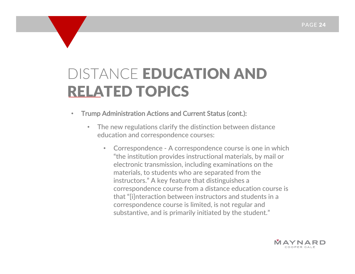- • Trump Administration Actions and Current Status (cont.):
	- $\bullet$  The new regulations clarify the distinction between distance education and correspondence courses:
		- • Correspondence ‐ A correspondence course is one in which "the institution provides instructional materials, by mail or electronic transmission, including examinations on the materials, to students who are separated from the instructors." A key feature that distinguishes <sup>a</sup> correspondence course from <sup>a</sup> distance education course is that "[i]nteraction between instructors and students in <sup>a</sup> correspondence course is limited, is not regular and substantive, and is primarily initiated by the student."

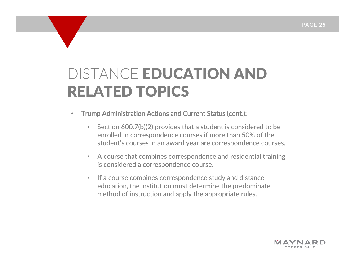- $\bullet$  Trump Administration Actions and Current Status (cont.):
	- $\bullet$  Section 600.7(b)(2) provides that <sup>a</sup> student is considered to be enrolled in correspondence courses if more than 50% of the student's courses in an award year are correspondence courses.
	- $\bullet$  A course that combines correspondence and residential training is considered <sup>a</sup> correspondence course.
	- •• If a course combines correspondence study and distance education, the institution must determine the predominate method of instruction and apply the appropriate rules.

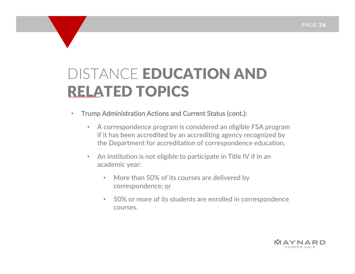- • Trump Administration Actions and Current Status (cont.):
	- • A correspondence program is considered an eligible FSA program if it has been accredited by an accrediting agency recognized by the Department for accreditation of correspondence education.
	- $\bullet$  An institution is not eligible to participate in Title IV if in an academic year:
		- • More than 50% of its courses are delivered by correspondence; or
		- 50% or more of its students are enrolled in correspondence courses.

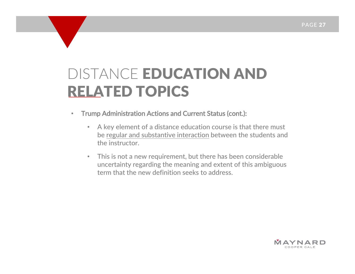- • Trump Administration Actions and Current Status (cont.):
	- $\bullet$  A key element of <sup>a</sup> distance education course is that there must be regular and substantive interaction between the students and the instructor.
	- $\bullet$  This is not <sup>a</sup> new requirement, but there has been considerable uncertainty regarding the meaning and extent of this ambiguous term that the new definition seeks to address.

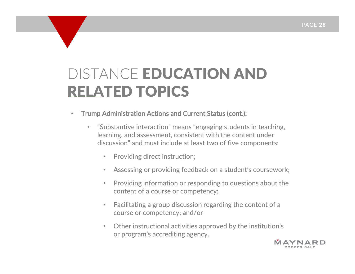- $\bullet$  Trump Administration Actions and Current Status (cont.):
	- • "Substantive interaction" means "engaging students in teaching, learning, and assessment, consistent with the content under discussion" and must include at least two of five components:
		- $\bullet$ Providing direct instruction;
		- •Assessing or providing feedback on <sup>a</sup> student's coursework;
		- $\bullet$  Providing information or responding to questions about the content of <sup>a</sup> course or competency;
		- $\bullet$  Facilitating <sup>a</sup> group discussion regarding the content of <sup>a</sup> course or competency; and/or
		- • Other instructional activities approved by the institution's or program's accrediting agency.

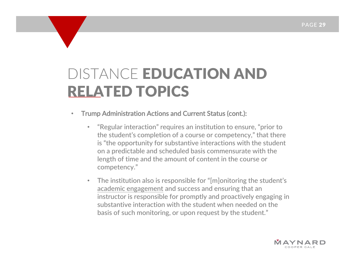- • Trump Administration Actions and Current Status (cont.):
	- • "Regular interaction" requires an institution to ensure, "prior to the student's completion of <sup>a</sup> course or competency," that there is "the opportunity for substantive interactions with the student on <sup>a</sup> predictable and scheduled basis commensurate with the length of time and the amount of content in the course or competency."
	- • The institution also is responsible for "[m]onitoring the student's academic engagement and success and ensuring that an instructor is responsible for promptly and proactively engaging in substantive interaction with the student when needed on the basis of such monitoring, or upon request by the student."

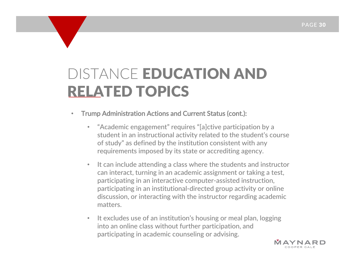- • Trump Administration Actions and Current Status (cont.):
	- $\bullet$  "Academic engagement" requires "[a]ctive participation by <sup>a</sup> student in an instructional activity related to the student's course of study" as defined by the institution consistent with any requirements imposed by its state or accrediting agency.
	- • It can include attending <sup>a</sup> class where the students and instructor can interact, turning in an academic assignment or taking <sup>a</sup> test, participating in an interactive computer‐assisted instruction, participating in an institutional‐directed group activity or online discussion, or interacting with the instructor regarding academic matters.
	- $\bullet$ • It excludes use of an institution's housing or meal plan, logging into an online class without further participation, and participating in academic counseling or advising.

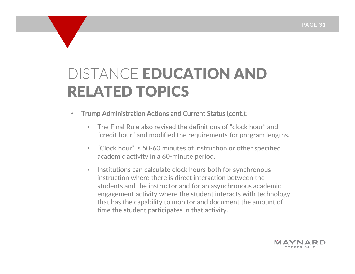- $\bullet$  Trump Administration Actions and Current Status (cont.):
	- • The Final Rule also revised the definitions of "clock hour" and "credit hour" and modified the requirements for program lengths.
	- • "Clock hour" is 50‐60 minutes of instruction or other specified academic activity in <sup>a</sup> 60‐minute period.
	- •• Institutions can calculate clock hours both for synchronous instruction where there is direct interaction between the students and the instructor and for an asynchronous academic engagement activity where the student interacts with technology that has the capability to monitor and document the amount of time the student participates in that activity.

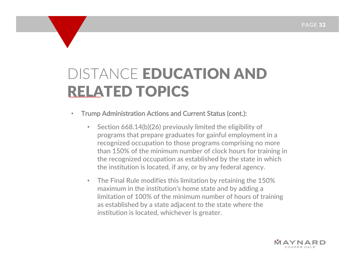- • Trump Administration Actions and Current Status (cont.):
	- $\bullet$  Section 668.14(b)(26) previously limited the eligibility of programs that prepare graduates for gainful employment in <sup>a</sup> recognized occupation to those programs comprising no more than 150% of the minimum number of clock hours for training in the recognized occupation as established by the state in which the institution is located, if any, or by any federal agency.
	- • The Final Rule modifies this limitation by retaining the 150% maximum in the institution's home state and by adding <sup>a</sup> limitation of 100% of the minimum number of hours of training as established by <sup>a</sup> state adjacent to the state where the institution is located, whichever is greater.

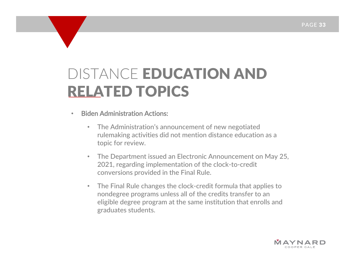#### •Biden Administration Actions:

- • The Administration's announcement of new negotiated rulemaking activities did not mention distance education as <sup>a</sup> topic for review.
- $\bullet$  The Department issued an Electronic Announcement on May 25, 2021, regarding implementation of the clock‐to‐credit conversions provided in the Final Rule.
- • The Final Rule changes the clock‐credit formula that applies to nondegree programs unless all of the credits transfer to an eligible degree program at the same institution that enrolls and graduates students.

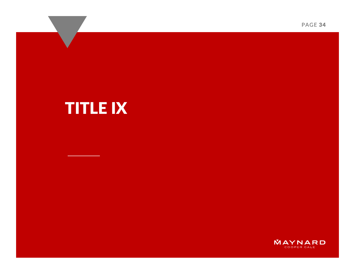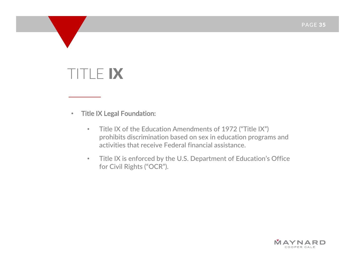#### TITLE IX

•Title IX Legal Foundation:

- $\bullet$  Title IX of the Education Amendments of 1972 ("Title IX") prohibits discrimination based on sex in education programs and activities that receive Federal financial assistance.
- • Title IX is enforced by the U.S. Department of Education's Office for Civil Rights ("OCR").

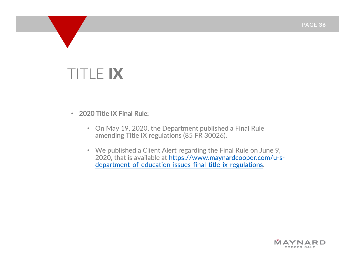#### TITLE IX

•2020 Title IX Final Rule:

- On May 19, 2020, the Department published <sup>a</sup> Final Rule amending Title IX regulations (85 FR 30026).
- We published <sup>a</sup> Client Alert regarding the Final Rule on June 9, 2020, that is available at <u>https://www.maynardcooper.com/u-s-</u> department‐of‐education‐issues‐final‐title‐ix‐regulations.

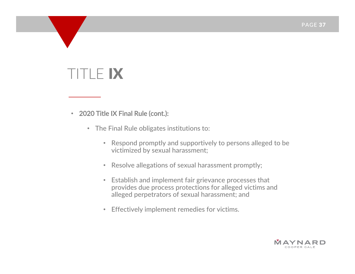- 2020 Title IX Final Rule (cont.):
	- The Final Rule obligates institutions to:
		- Respond promptly and supportively to persons alleged to be victimized by sexual harassment;
		- Resolve allegations of sexual harassment promptly;
		- Establish and implement fair grievance processes that provides due process protections for alleged victims and alleged perpetrators of sexual harassment; and
		- Effectively implement remedies for victims.

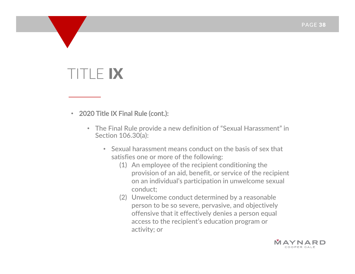- 2020 Title IX Final Rule (cont.):
	- The Final Rule provide <sup>a</sup> new definition of "Sexual Harassment" in Section 106.30(a):
		- Sexual harassment means conduct on the basis of sex that satisfies one or more of the following:
			- (1) An employee of the recipient conditioning the provision of an aid, benefit, or service of the recipient on an individual's participation in unwelcome sexual conduct;
			- (2) Unwelcome conduct determined by <sup>a</sup> reasonable person to be so severe, pervasive, and objectively offensive that it effectively denies <sup>a</sup> person equal access to the recipient's education program or activity; or

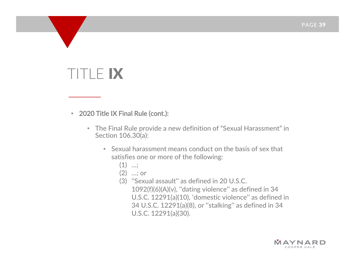### TITLE IX

• 2020 Title IX Final Rule (cont.):

- The Final Rule provide <sup>a</sup> new definition of "Sexual Harassment" in Section 106.30(a):
	- Sexual harassment means conduct on the basis of sex that satisfies one or more of the following:
		- $(1)$  ...;
		- (2) …; or
		- (3) ''Sexual assault'' as defined in 20 U.S.C. 1092(f)(6)(A)(v), ''dating violence'' as defined in 34 U.S.C. 12291(a)(10), 'domestic violence'' as defined in 34 U.S.C. 12291(a)(8), or ''stalking'' as defined in 34 U.S.C. 12291(a)(30).

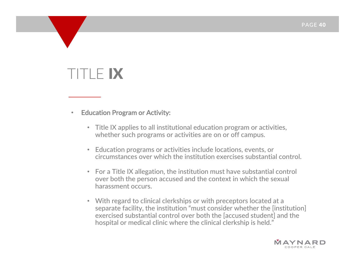#### $\bullet$ Education Program or Activity:

- Title IX applies to all institutional education program or activities, whether such programs or activities are on or off campus.
- Education programs or activities include locations, events, or circumstances over which the institution exercises substantial control.
- For a Title IX allegation, the institution must have substantial control over both the person accused and the context in which the sexual harassment occurs.
- With regard to clinical clerkships or with preceptors located at <sup>a</sup> separate facility, the institution "must consider whether the [institution] exercised substantial control over both the [accused student] and the hospital or medical clinic where the clinical clerkship is held."

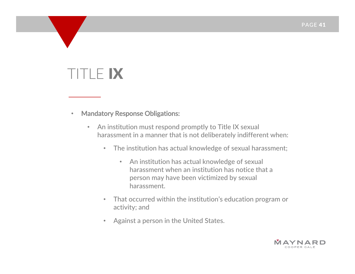- $\bullet$  Mandatory Response Obligations:
	- • An institution must respond promptly to Title IX sexual harassment in <sup>a</sup> manner that is not deliberately indifferent when:
		- The institution has actual knowledge of sexual harassment;
			- An institution has actual knowledge of sexual harassment when an institution has notice that <sup>a</sup> person may have been victimized by sexual harassment.
		- • That occurred within the institution's education program or activity; and
		- •Against <sup>a</sup> person in the United States.

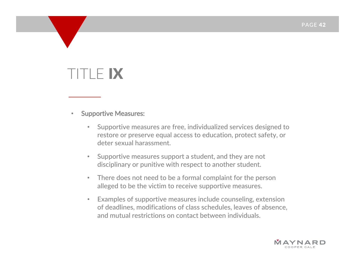#### •Supportive Measures:

- • Supportive measures are free, individualized services designed to restore or preserve equal access to education, protect safety, or deter sexual harassment.
- $\bullet$  Supportive measures support <sup>a</sup> student, and they are not disciplinary or punitive with respect to another student.
- • There does not need to be <sup>a</sup> formal complaint for the person alleged to be the victim to receive supportive measures.
- $\bullet$  Examples of supportive measures include counseling, extension of deadlines, modifications of class schedules, leaves of absence, and mutual restrictions on contact between individuals.

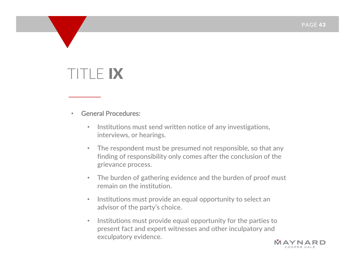- • General Procedures:
	- •• Institutions must send written notice of any investigations, interviews, or hearings.
	- • The respondent must be presumed not responsible, so that any finding of responsibility only comes after the conclusion of the grievance process.
	- $\bullet$  The burden of gathering evidence and the burden of proof must remain on the institution.
	- $\bullet$ • Institutions must provide an equal opportunity to select an advisor of the party's choice.
	- $\bullet$ • Institutions must provide equal opportunity for the parties to present fact and expert witnesses and other inculpatory and exculpatory evidence.

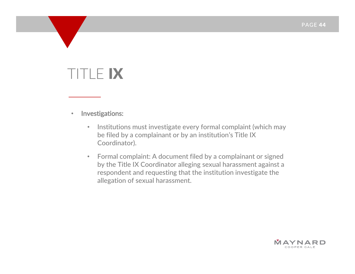- $\bullet$  Investigations:
	- $\bullet$ • Institutions must investigate every formal complaint (which may be filed by <sup>a</sup> complainant or by an institution's Title IX Coordinator).
	- $\bullet$  Formal complaint: A document filed by <sup>a</sup> complainant or signed by the Title IX Coordinator alleging sexual harassment against <sup>a</sup> respondent and requesting that the institution investigate the allegation of sexual harassment.

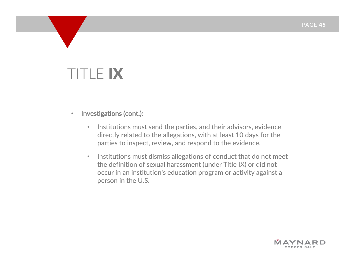$\bullet$ Investigations (cont.):

- $\bullet$ • Institutions must send the parties, and their advisors, evidence directly related to the allegations, with at least 10 days for the parties to inspect, review, and respond to the evidence.
- $\bullet$  $\bullet$   $\;\;$  Institutions must dismiss allegations of conduct that do not meet the definition of sexual harassment (under Title IX) or did not occur in an institution's education program or activity against <sup>a</sup> person in the U.S.

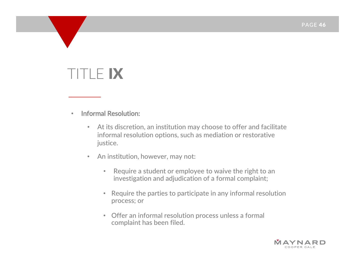- • Informal Resolution:
	- $\bullet$  At its discretion, an institution may choose to offer and facilitate informal resolution options, such as mediation or restorative justice.
	- $\bullet$  An institution, however, may not:
		- $\bullet$  Require <sup>a</sup> student or employee to waive the right to an investigation and adjudication of <sup>a</sup> formal complaint;
		- Require the parties to participate in any informal resolution process; or
		- Offer an informal resolution process unless <sup>a</sup> formal complaint has been filed.

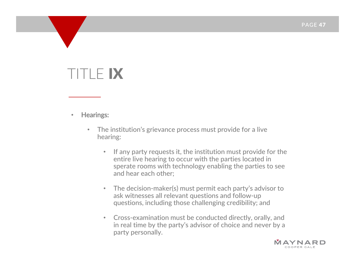- • Hearings:
	- $\bullet$  The institution's grievance process must provide for <sup>a</sup> live hearing:
		- •• If any party requests it, the institution must provide for the entire live hearing to occur with the parties located in sperate rooms with technology enabling the parties to see and hear each other;
		- • The decision‐maker(s) must permit each party's advisor to ask witnesses all relevant questions and follow‐up questions, including those challenging credibility; and
		- • Cross‐examination must be conducted directly, orally, and in real time by the party's advisor of choice and never by <sup>a</sup> party personally.

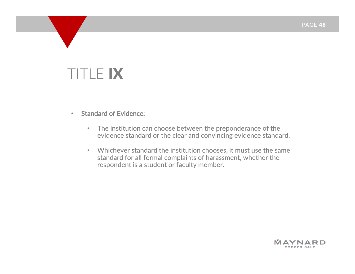- • Standard of Evidence:
	- The institution can choose between the preponderance of the evidence standard or the clear and convincing evidence standard.
	- Whichever standard the institution chooses, it must use the same standard for all formal complaints of harassment, whether the respondent is <sup>a</sup> student or faculty member.

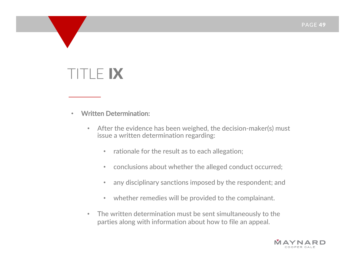- • Written Determination:
	- • After the evidence has been weighed, the decision‐maker(s) must issue <sup>a</sup> written determination regarding:
		- • $\bullet$  - rationale for the result as to each allegation;
		- $\bullet$ conclusions about whether the alleged conduct occurred;
		- $\bullet$ any disciplinary sanctions imposed by the respondent; and
		- $\bullet$ whether remedies will be provided to the complainant.
	- • The written determination must be sent simultaneously to the parties along with information about how to file an appeal.

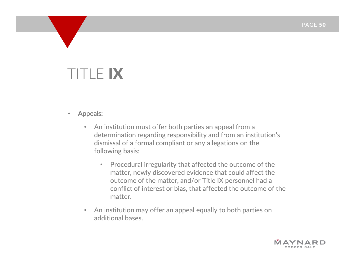- • Appeals:
	- • An institution must offer both parties an appeal from <sup>a</sup> determination regarding responsibility and from an institution's dismissal of a formal compliant or any allegations on the following basis:
		- Procedural irregularity that affected the outcome of the matter, newly discovered evidence that could affect the outcome of the matter, and/or Title IX personnel had <sup>a</sup> conflict of interest or bias, that affected the outcome of the matter.
	- • An institution may offer an appeal equally to both parties on additional bases.

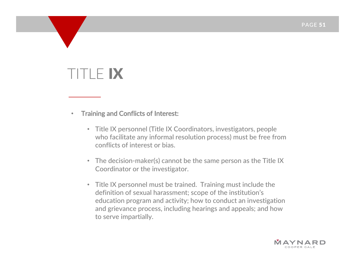- $\bullet$  Training and Conflicts of Interest:
	- Title IX personnel (Title IX Coordinators, investigators, people who facilitate any informal resolution process) must be free from conflicts of interest or bias.
	- The decision‐maker(s) cannot be the same person as the Title IX Coordinator or the investigator.
	- Title IX personnel must be trained. Training must include the definition of sexual harassment; scope of the institution's education program and activity; how to conduct an investigation and grievance process, including hearings and appeals; and how to serve impartially.

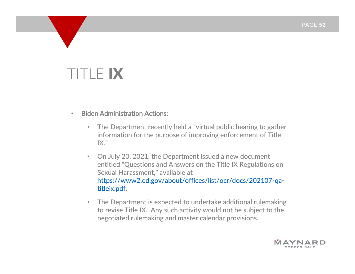- • Biden Administration Actions:
	- • The Department recently held <sup>a</sup> "virtual public hearing to gather information for the purpose of improving enforcement of Title  $IX."$
	- $\bullet$  On July 20, 2021, the Department issued <sup>a</sup> new document entitled "Questions and Answers on the Title IX Regulations on Sexual Harassment," available at https://www2.ed.gov/about/offices/list/ocr/docs/202107‐qa‐ titleix.pdf.
	- $\bullet$  The Department is expected to undertake additional rulemaking to revise Title IX. Any such activity would not be subject to the negotiated rulemaking and master calendar provisions.

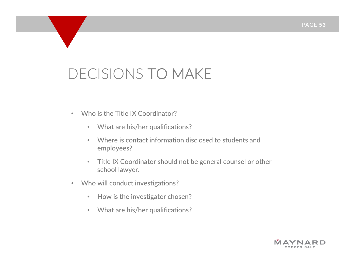- • Who is the Title IX Coordinator?
	- $\bullet$ What are his/her qualifications?
	- • Where is contact information disclosed to students and employees?
	- $\bullet$  Title IX Coordinator should not be general counsel or other school lawyer.
- • Who will conduct investigations?
	- $\bullet$ • How is the investigator chosen?
	- What are his/her qualifications?

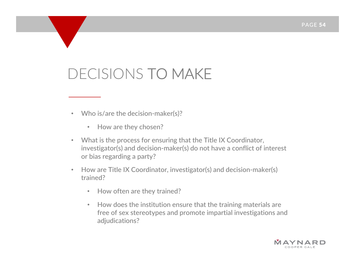- Who is/are the decision-maker(s)?
	- •• How are they chosen?
- $\bullet$  What is the process for ensuring that the Title IX Coordinator, investigator(s) and decision‐maker(s) do not have <sup>a</sup> conflict of interest or bias regarding <sup>a</sup> party?
- • How are Title IX Coordinator, investigator(s) and decision‐maker(s) trained?
	- $\bullet$ • How often are they trained?
	- • How does the institution ensure that the training materials are free of sex stereotypes and promote impartial investigations and adjudications?

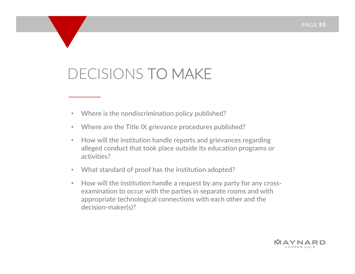- Where is the nondiscrimination policy published?
- Where are the Title IX grievance procedures published?
- How will the institution handle reports and grievances regarding alleged conduct that took place outside its education programs or activities?
- •What standard of proof has the institution adopted?
- •• How will the institution handle a request by any party for any crossexamination to occur with the parties in separate rooms and with appropriate technological connections with each other and the decision‐maker(s)?

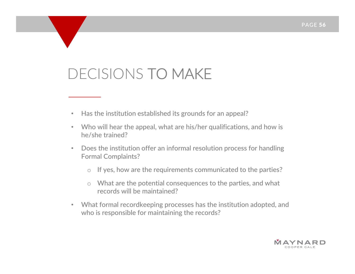- Has the institution established its grounds for an appeal?
- • Who will hear the appeal, what are his/her qualifications, and how is he/she trained?
- • Does the institution offer an informal resolution process for handling Formal Complaints?
	- oIf yes, how are the requirements communicated to the parties?
	- $\circ$  What are the potential consequences to the parties, and what records will be maintained?
- What formal recordkeeping processes has the institution adopted, and who is responsible for maintaining the records?